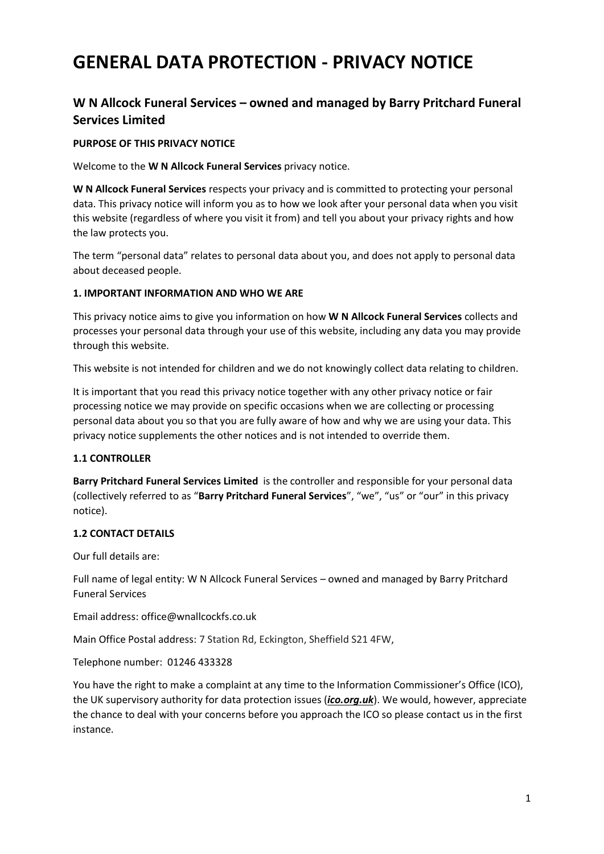# **GENERAL DATA PROTECTION - PRIVACY NOTICE**

# **W N Allcock Funeral Services – owned and managed by Barry Pritchard Funeral Services Limited**

#### **PURPOSE OF THIS PRIVACY NOTICE**

Welcome to the **W N Allcock Funeral Services** privacy notice.

**W N Allcock Funeral Services** respects your privacy and is committed to protecting your personal data. This privacy notice will inform you as to how we look after your personal data when you visit this website (regardless of where you visit it from) and tell you about your privacy rights and how the law protects you.

The term "personal data" relates to personal data about you, and does not apply to personal data about deceased people.

#### **1. IMPORTANT INFORMATION AND WHO WE ARE**

This privacy notice aims to give you information on how **W N Allcock Funeral Services** collects and processes your personal data through your use of this website, including any data you may provide through this website.

This website is not intended for children and we do not knowingly collect data relating to children.

It is important that you read this privacy notice together with any other privacy notice or fair processing notice we may provide on specific occasions when we are collecting or processing personal data about you so that you are fully aware of how and why we are using your data. This privacy notice supplements the other notices and is not intended to override them.

#### **1.1 CONTROLLER**

**Barry Pritchard Funeral Services Limited** is the controller and responsible for your personal data (collectively referred to as "**Barry Pritchard Funeral Services**", "we", "us" or "our" in this privacy notice).

#### **1.2 CONTACT DETAILS**

Our full details are:

Full name of legal entity: W N Allcock Funeral Services – owned and managed by Barry Pritchard Funeral Services

Email address: office@wnallcockfs.co.uk

Main Office Postal address: 7 Station Rd, Eckington, Sheffield S21 4FW,

Telephone number: [01246 433328](https://www.google.com/search?q=w+n+allcock+funeral+directors&rlz=1C1CAFA_enGB869GB900&ei=zOfvYY6cMtGjgAaur694&oq=w+n++allcock+funeral&gs_lcp=Cgdnd3Mtd2l6EAEYADIFCCEQoAEyBQghEKABMgUIIRCgATIFCCEQoAE6BQgAEJECOgYIABAHEB46CwguEIAEEMcBEK8BOggIABAIEAcQHjoHCCEQChCgAUoECEEYAUoECEYYAFCGBVihUGCOXmgEcAB4AIABhgGIAewLkgEEMTYuMpgBAKABAcABAQ&sclient=gws-wiz)

You have the right to make a complaint at any time to the Information Commissioner's Office (ICO), the UK supervisory authority for data protection issues (*[ico.org.uk](https://ico.org.uk/)*). We would, however, appreciate the chance to deal with your concerns before you approach the ICO so please contact us in the first instance.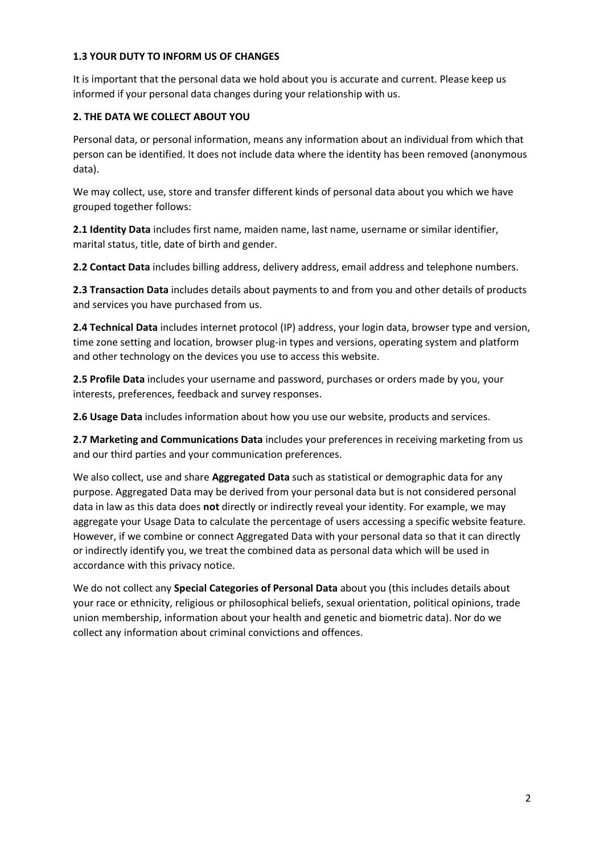#### **1.3 YOUR DUTY TO INFORM US OF CHANGES**

It is important that the personal data we hold about you is accurate and current. Please keep us informed if your personal data changes during your relationship with us.

## **2. THE DATA WE COLLECT ABOUT YOU**

Personal data, or personal information, means any information about an individual from which that person can be identified. It does not include data where the identity has been removed (anonymous data).

We may collect, use, store and transfer different kinds of personal data about you which we have grouped together follows:

**2.1 Identity Data** includes first name, maiden name, last name, username or similar identifier, marital status, title, date of birth and gender.

**2.2 Contact Data** includes billing address, delivery address, email address and telephone numbers.

**2.3 Transaction Data** includes details about payments to and from you and other details of products and services you have purchased from us.

**2.4 Technical Data** includes internet protocol (IP) address, your login data, browser type and version, time zone setting and location, browser plug-in types and versions, operating system and platform and other technology on the devices you use to access this website.

**2.5 Profile Data** includes your username and password, purchases or orders made by you, your interests, preferences, feedback and survey responses.

**2.6 Usage Data** includes information about how you use our website, products and services.

**2.7 Marketing and Communications Data** includes your preferences in receiving marketing from us and our third parties and your communication preferences.

We also collect, use and share **Aggregated Data** such as statistical or demographic data for any purpose. Aggregated Data may be derived from your personal data but is not considered personal data in law as this data does **not** directly or indirectly reveal your identity. For example, we may aggregate your Usage Data to calculate the percentage of users accessing a specific website feature. However, if we combine or connect Aggregated Data with your personal data so that it can directly or indirectly identify you, we treat the combined data as personal data which will be used in accordance with this privacy notice.

We do not collect any **Special Categories of Personal Data** about you (this includes details about your race or ethnicity, religious or philosophical beliefs, sexual orientation, political opinions, trade union membership, information about your health and genetic and biometric data). Nor do we collect any information about criminal convictions and offences.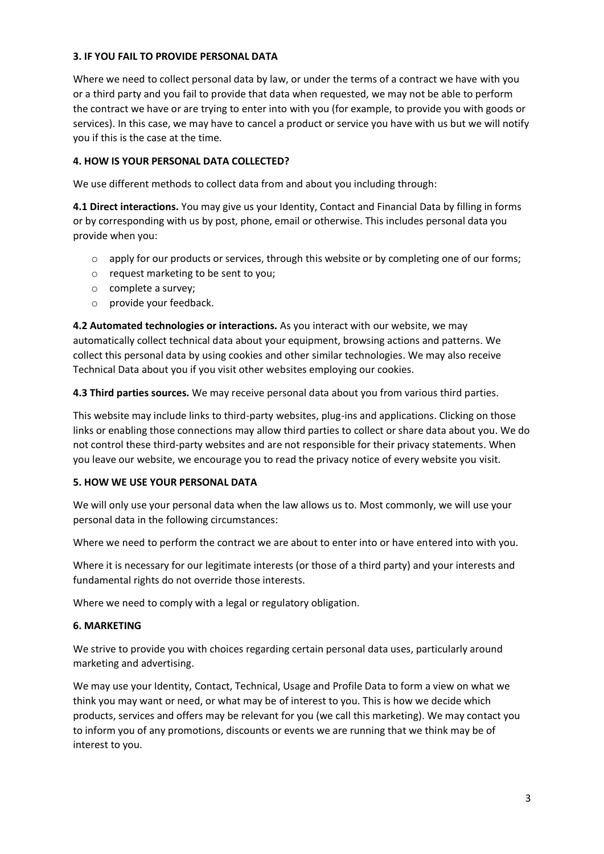#### **3. IF YOU FAIL TO PROVIDE PERSONAL DATA**

Where we need to collect personal data by law, or under the terms of a contract we have with you or a third party and you fail to provide that data when requested, we may not be able to perform the contract we have or are trying to enter into with you (for example, to provide you with goods or services). In this case, we may have to cancel a product or service you have with us but we will notify you if this is the case at the time.

## **4. HOW IS YOUR PERSONAL DATA COLLECTED?**

We use different methods to collect data from and about you including through:

**4.1 Direct interactions.** You may give us your Identity, Contact and Financial Data by filling in forms or by corresponding with us by post, phone, email or otherwise. This includes personal data you provide when you:

- o apply for our products or services, through this website or by completing one of our forms;
- o request marketing to be sent to you;
- o complete a survey;
- o provide your feedback.

**4.2 Automated technologies or interactions.** As you interact with our website, we may automatically collect technical data about your equipment, browsing actions and patterns. We collect this personal data by using cookies and other similar technologies. We may also receive Technical Data about you if you visit other websites employing our cookies.

**4.3 Third parties sources.** We may receive personal data about you from various third parties.

This website may include links to third-party websites, plug-ins and applications. Clicking on those links or enabling those connections may allow third parties to collect or share data about you. We do not control these third-party websites and are not responsible for their privacy statements. When you leave our website, we encourage you to read the privacy notice of every website you visit.

#### **5. HOW WE USE YOUR PERSONAL DATA**

We will only use your personal data when the law allows us to. Most commonly, we will use your personal data in the following circumstances:

Where we need to perform the contract we are about to enter into or have entered into with you.

Where it is necessary for our legitimate interests (or those of a third party) and your interests and fundamental rights do not override those interests.

Where we need to comply with a legal or regulatory obligation.

#### **6. MARKETING**

We strive to provide you with choices regarding certain personal data uses, particularly around marketing and advertising.

We may use your Identity, Contact, Technical, Usage and Profile Data to form a view on what we think you may want or need, or what may be of interest to you. This is how we decide which products, services and offers may be relevant for you (we call this marketing). We may contact you to inform you of any promotions, discounts or events we are running that we think may be of interest to you.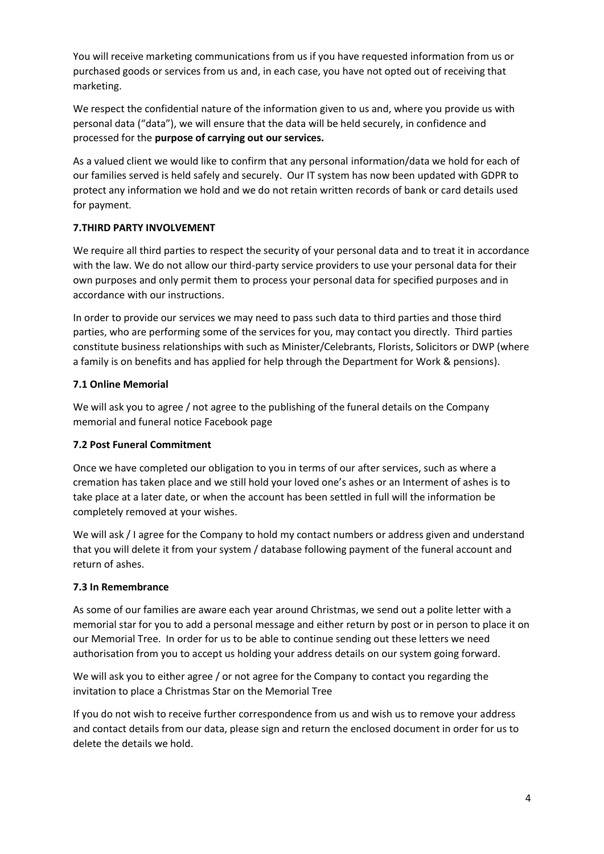You will receive marketing communications from us if you have requested information from us or purchased goods or services from us and, in each case, you have not opted out of receiving that marketing.

We respect the confidential nature of the information given to us and, where you provide us with personal data ("data"), we will ensure that the data will be held securely, in confidence and processed for the **purpose of carrying out our services.** 

As a valued client we would like to confirm that any personal information/data we hold for each of our families served is held safely and securely. Our IT system has now been updated with GDPR to protect any information we hold and we do not retain written records of bank or card details used for payment.

# **7.THIRD PARTY INVOLVEMENT**

We require all third parties to respect the security of your personal data and to treat it in accordance with the law. We do not allow our third-party service providers to use your personal data for their own purposes and only permit them to process your personal data for specified purposes and in accordance with our instructions.

In order to provide our services we may need to pass such data to third parties and those third parties, who are performing some of the services for you, may contact you directly. Third parties constitute business relationships with such as Minister/Celebrants, Florists, Solicitors or DWP (where a family is on benefits and has applied for help through the Department for Work & pensions).

# **7.1 Online Memorial**

We will ask you to agree / not agree to the publishing of the funeral details on the Company memorial and funeral notice Facebook page

#### **7.2 Post Funeral Commitment**

Once we have completed our obligation to you in terms of our after services, such as where a cremation has taken place and we still hold your loved one's ashes or an Interment of ashes is to take place at a later date, or when the account has been settled in full will the information be completely removed at your wishes.

We will ask / I agree for the Company to hold my contact numbers or address given and understand that you will delete it from your system / database following payment of the funeral account and return of ashes.

#### **7.3 In Remembrance**

As some of our families are aware each year around Christmas, we send out a polite letter with a memorial star for you to add a personal message and either return by post or in person to place it on our Memorial Tree. In order for us to be able to continue sending out these letters we need authorisation from you to accept us holding your address details on our system going forward.

We will ask you to either agree / or not agree for the Company to contact you regarding the invitation to place a Christmas Star on the Memorial Tree

If you do not wish to receive further correspondence from us and wish us to remove your address and contact details from our data, please sign and return the enclosed document in order for us to delete the details we hold.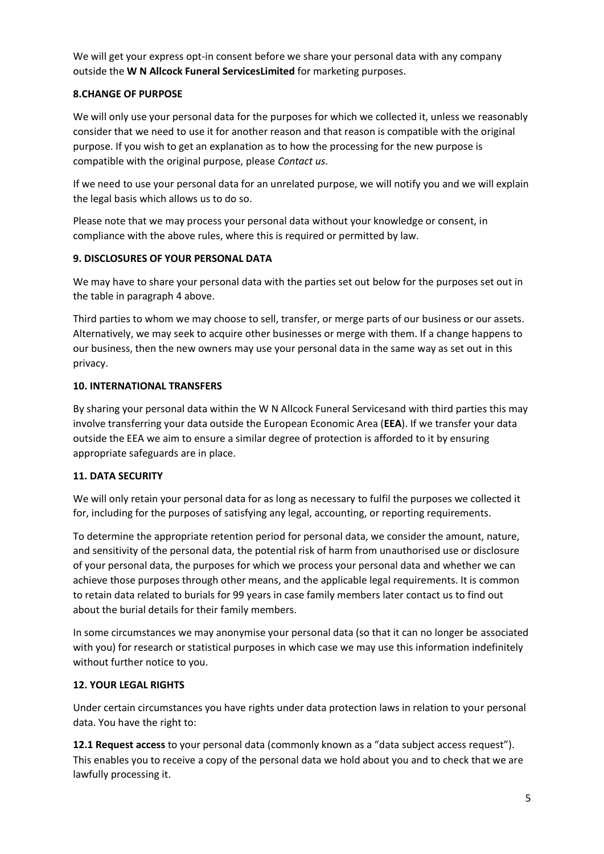We will get your express opt-in consent before we share your personal data with any company outside the **W N Allcock Funeral ServicesLimited** for marketing purposes.

#### **8.CHANGE OF PURPOSE**

We will only use your personal data for the purposes for which we collected it, unless we reasonably consider that we need to use it for another reason and that reason is compatible with the original purpose. If you wish to get an explanation as to how the processing for the new purpose is compatible with the original purpose, please *[Contact us](https://www.cpjfield.co.uk/privacy-policy#co_anchor_a599551_1)*.

If we need to use your personal data for an unrelated purpose, we will notify you and we will explain the legal basis which allows us to do so.

Please note that we may process your personal data without your knowledge or consent, in compliance with the above rules, where this is required or permitted by law.

#### **9. DISCLOSURES OF YOUR PERSONAL DATA**

We may have to share your personal data with the parties set out below for the purposes set out in the table in paragraph 4 above.

Third parties to whom we may choose to sell, transfer, or merge parts of our business or our assets. Alternatively, we may seek to acquire other businesses or merge with them. If a change happens to our business, then the new owners may use your personal data in the same way as set out in this privacy.

#### **10. INTERNATIONAL TRANSFERS**

By sharing your personal data within the W N Allcock Funeral Servicesand with third parties this may involve transferring your data outside the European Economic Area (**EEA**). If we transfer your data outside the EEA we aim to ensure a similar degree of protection is afforded to it by ensuring appropriate safeguards are in place.

#### **11. DATA SECURITY**

We will only retain your personal data for as long as necessary to fulfil the purposes we collected it for, including for the purposes of satisfying any legal, accounting, or reporting requirements.

To determine the appropriate retention period for personal data, we consider the amount, nature, and sensitivity of the personal data, the potential risk of harm from unauthorised use or disclosure of your personal data, the purposes for which we process your personal data and whether we can achieve those purposes through other means, and the applicable legal requirements. It is common to retain data related to burials for 99 years in case family members later contact us to find out about the burial details for their family members.

In some circumstances we may anonymise your personal data (so that it can no longer be associated with you) for research or statistical purposes in which case we may use this information indefinitely without further notice to you.

#### **12. YOUR LEGAL RIGHTS**

Under certain circumstances you have rights under data protection laws in relation to your personal data. You have the right to:

**12.1 Request access** to your personal data (commonly known as a "data subject access request"). This enables you to receive a copy of the personal data we hold about you and to check that we are lawfully processing it.